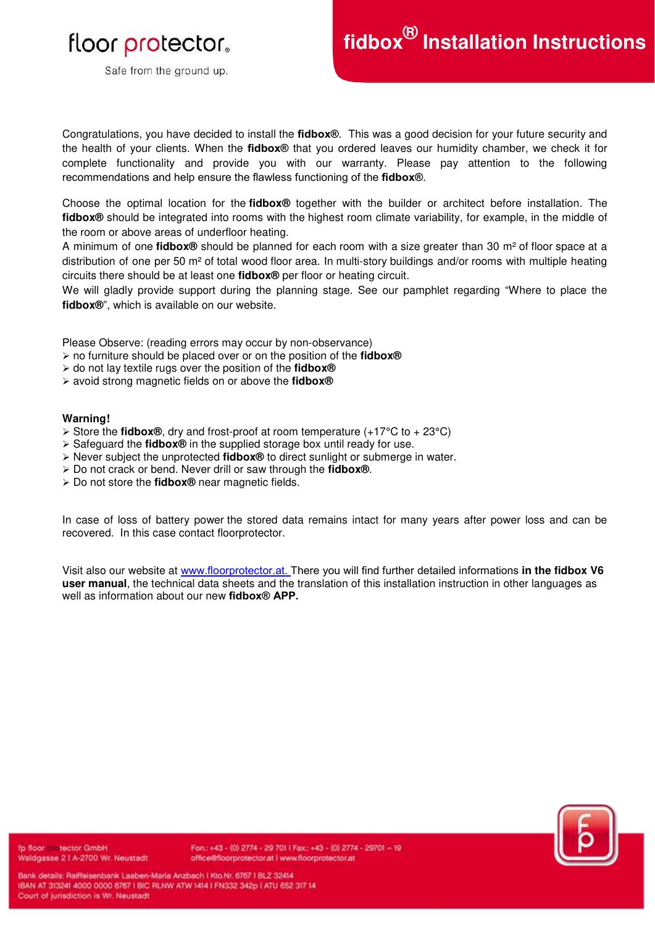# floor protector.

Safe from the ground up.

Congratulations, you have decided to install the **fidbox®**. This was a good decision for your future security and the health of your clients. When the **fidbox®** that you ordered leaves our humidity chamber, we check it for complete functionality and provide you with our warranty. Please pay attention to the following recommendations and help ensure the flawless functioning of the **fidbox®**.

Choose the optimal location for the **fidbox®** together with the builder or architect before installation. The **fidbox®** should be integrated into rooms with the highest room climate variability, for example, in the middle of the room or above areas of underfloor heating.

A minimum of one **fidbox®** should be planned for each room with a size greater than 30 m² of floor space at a distribution of one per 50 m² of total wood floor area. In multi-story buildings and/or rooms with multiple heating circuits there should be at least one **fidbox®** per floor or heating circuit.

We will gladly provide support during the planning stage. See our pamphlet regarding "Where to place the **fidbox®**", which is available on our website.

Please Observe: (reading errors may occur by non-observance)

- no furniture should be placed over or on the position of the **fidbox®**
- do not lay textile rugs over the position of the **fidbox®**
- avoid strong magnetic fields on or above the **fidbox®**

### **Warning!**

- $\triangleright$  Store the **fidbox®**, dry and frost-proof at room temperature (+17°C to + 23°C)
- Safeguard the **fidbox®** in the supplied storage box until ready for use.
- Never subject the unprotected **fidbox®** to direct sunlight or submerge in water.
- Do not crack or bend. Never drill or saw through the **fidbox®**.
- Do not store the **fidbox®** near magnetic fields.

In case of loss of battery power the stored data remains intact for many years after power loss and can be recovered. In this case contact floorprotector.

Visit also our website at [www.floorprotector.at. T](http://www.floorprotector.at/)here you will find further detailed informations **in the fidbox V6 user manual**, the technical data sheets and the translation of this installation instruction in other languages as well as information about our new **fidbox® APP.**



fp floor in tector GmbH Waldgasse 2 | A-2700 Wr. Neustadt

Fon.: +43 - (0) 2774 - 29 701 | Fax:: +43 - (0) 2774 - 29701 - 19 office@floorprotector.at I www.floorprotector.at

Bank details: Raiffelsenbank Laaben-Maria Anzbach | Kto.Nr. 6767 | BLZ 32414 IBAN AT 313241 4000 0000 6767 I BIC RLNW ATW 1414 I FN332 342p I ATU 652 317 14 Court of jurisdiction is Wr. Neustadt